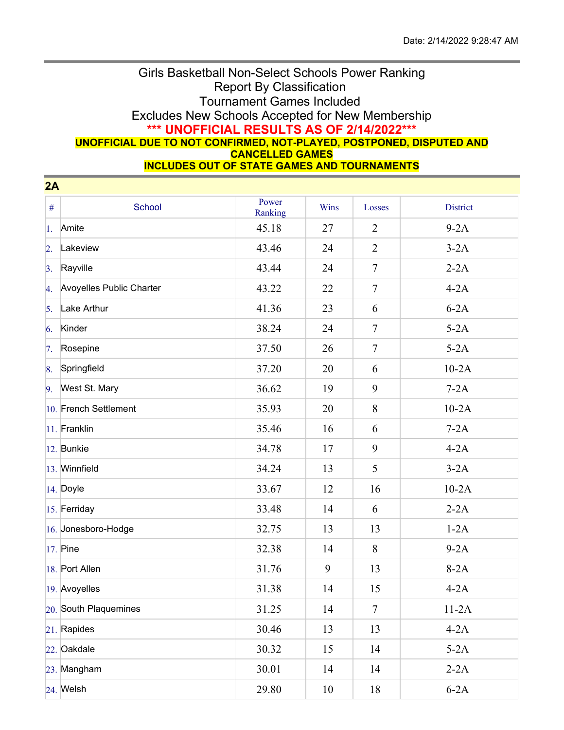## Girls Basketball Non-Select Schools Power Ranking Report By Classification Tournament Games Included Excludes New Schools Accepted for New Membership **\*\*\* UNOFFICIAL RESULTS AS OF 2/14/2022\*\*\* UNOFFICIAL DUE TO NOT CONFIRMED, NOT-PLAYED, POSTPONED, DISPUTED AND CANCELLED GAMES**

**INCLUDES OUT OF STATE GAMES AND TOURNAMENTS**

| 2A               |                          |                  |      |                  |                 |  |  |  |
|------------------|--------------------------|------------------|------|------------------|-----------------|--|--|--|
| $\#$             | School                   | Power<br>Ranking | Wins | Losses           | <b>District</b> |  |  |  |
| 1.               | Amite                    | 45.18            | 27   | $\overline{2}$   | $9-2A$          |  |  |  |
| $\overline{2}$ . | Lakeview                 | 43.46            | 24   | $\overline{2}$   | $3-2A$          |  |  |  |
| 3.               | Rayville                 | 43.44            | 24   | $\tau$           | $2-2A$          |  |  |  |
| 4.               | Avoyelles Public Charter | 43.22            | 22   | $\overline{7}$   | $4-2A$          |  |  |  |
| 5.               | Lake Arthur              | 41.36            | 23   | 6                | $6-2A$          |  |  |  |
| 6.               | Kinder                   | 38.24            | 24   | $\tau$           | $5-2A$          |  |  |  |
| 7.               | Rosepine                 | 37.50            | 26   | $\tau$           | $5-2A$          |  |  |  |
| 8.               | Springfield              | 37.20            | 20   | 6                | $10-2A$         |  |  |  |
| 9.               | West St. Mary            | 36.62            | 19   | 9                | $7-2A$          |  |  |  |
|                  | 10. French Settlement    | 35.93            | 20   | 8                | $10-2A$         |  |  |  |
|                  | 11. Franklin             | 35.46            | 16   | 6                | $7-2A$          |  |  |  |
|                  | $ 12.$ Bunkie            | 34.78            | 17   | 9                | $4-2A$          |  |  |  |
|                  | 13. Winnfield            | 34.24            | 13   | 5                | $3-2A$          |  |  |  |
|                  | 14. Doyle                | 33.67            | 12   | 16               | $10-2A$         |  |  |  |
|                  | 15. Ferriday             | 33.48            | 14   | 6                | $2-2A$          |  |  |  |
|                  | 16. Jonesboro-Hodge      | 32.75            | 13   | 13               | $1-2A$          |  |  |  |
|                  | $17.$ Pine               | 32.38            | 14   | 8                | $9-2A$          |  |  |  |
|                  | 18. Port Allen           | 31.76            | 9    | 13               | $8-2A$          |  |  |  |
|                  | 19. Avoyelles            | 31.38            | 14   | 15               | $4-2A$          |  |  |  |
|                  | 20. South Plaquemines    | 31.25            | 14   | $\boldsymbol{7}$ | $11-2A$         |  |  |  |
|                  | 21. Rapides              | 30.46            | 13   | 13               | $4-2A$          |  |  |  |
|                  | 22. Oakdale              | 30.32            | 15   | 14               | $5-2A$          |  |  |  |
|                  | 23. Mangham              | 30.01            | 14   | 14               | $2-2A$          |  |  |  |
|                  | $24.$ Welsh              | 29.80            | 10   | 18               | $6-2A$          |  |  |  |